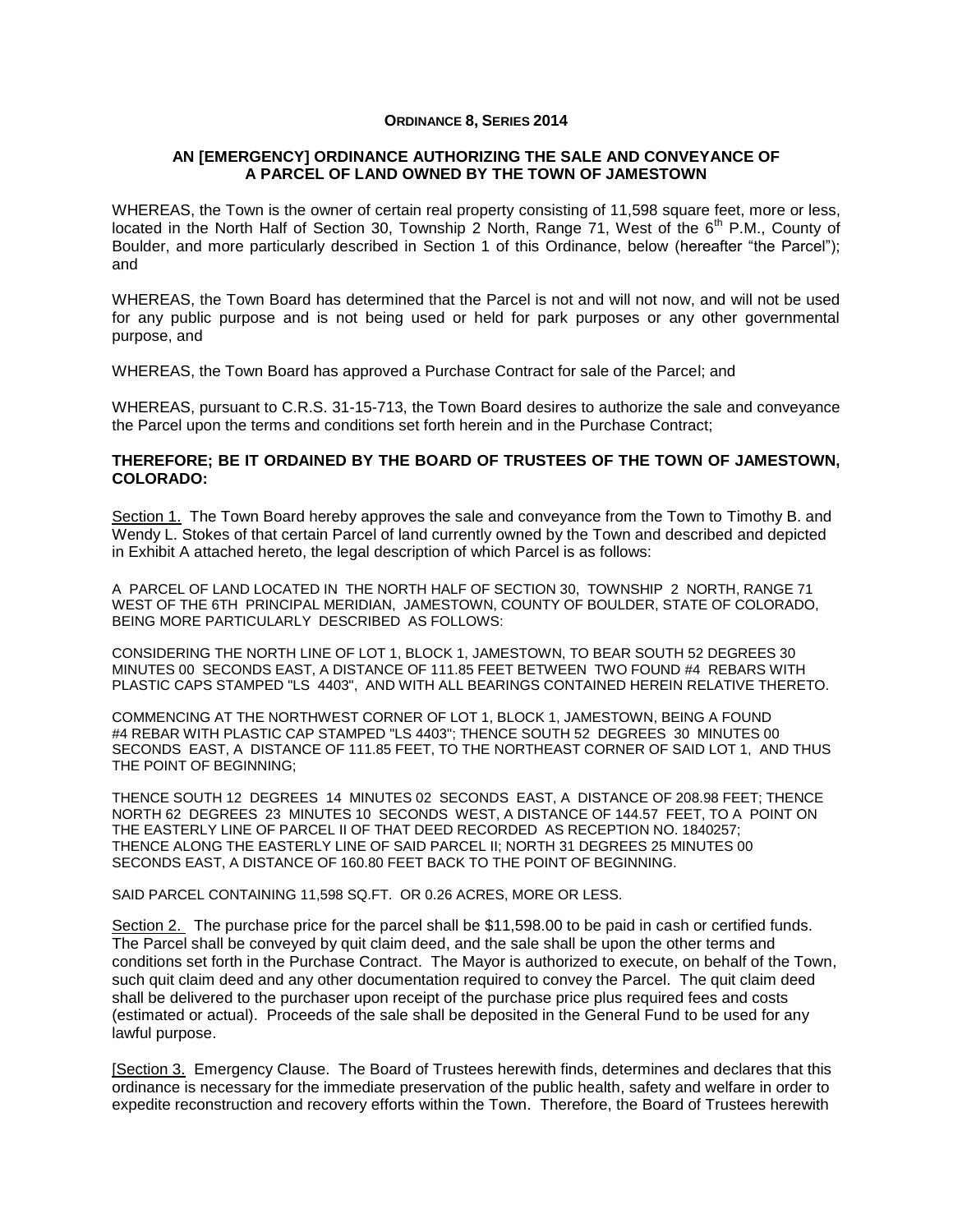## **ORDINANCE 8, SERIES 2014**

## **AN [EMERGENCY] ORDINANCE AUTHORIZING THE SALE AND CONVEYANCE OF A PARCEL OF LAND OWNED BY THE TOWN OF JAMESTOWN**

WHEREAS, the Town is the owner of certain real property consisting of 11,598 square feet, more or less, located in the North Half of Section 30, Township 2 North, Range 71, West of the  $6<sup>th</sup>$  P.M., County of Boulder, and more particularly described in Section 1 of this Ordinance, below (hereafter "the Parcel"); and

WHEREAS, the Town Board has determined that the Parcel is not and will not now, and will not be used for any public purpose and is not being used or held for park purposes or any other governmental purpose, and

WHEREAS, the Town Board has approved a Purchase Contract for sale of the Parcel; and

WHEREAS, pursuant to C.R.S. 31-15-713, the Town Board desires to authorize the sale and conveyance the Parcel upon the terms and conditions set forth herein and in the Purchase Contract;

## **THEREFORE; BE IT ORDAINED BY THE BOARD OF TRUSTEES OF THE TOWN OF JAMESTOWN, COLORADO:**

Section 1. The Town Board hereby approves the sale and conveyance from the Town to Timothy B. and Wendy L. Stokes of that certain Parcel of land currently owned by the Town and described and depicted in Exhibit A attached hereto, the legal description of which Parcel is as follows:

A PARCEL OF LAND LOCATED IN THE NORTH HALF OF SECTION 30, TOWNSHIP 2 NORTH, RANGE 71 WEST OF THE 6TH PRINCIPAL MERIDIAN, JAMESTOWN, COUNTY OF BOULDER, STATE OF COLORADO, BEING MORE PARTICULARLY DESCRIBED AS FOLLOWS:

CONSIDERING THE NORTH LINE OF LOT 1, BLOCK 1, JAMESTOWN, TO BEAR SOUTH 52 DEGREES 30 MINUTES 00 SECONDS EAST, A DISTANCE OF 111.85 FEET BETWEEN TWO FOUND #4 REBARS WITH PLASTIC CAPS STAMPED "LS 4403", AND WITH ALL BEARINGS CONTAINED HEREIN RELATIVE THERETO.

COMMENCING AT THE NORTHWEST CORNER OF LOT 1, BLOCK 1, JAMESTOWN, BEING A FOUND #4 REBAR WITH PLASTIC CAP STAMPED "LS 4403"; THENCE SOUTH 52 DEGREES 30 MINUTES 00 SECONDS EAST, A DISTANCE OF 111.85 FEET, TO THE NORTHEAST CORNER OF SAID LOT 1, AND THUS THE POINT OF BEGINNING;

THENCE SOUTH 12 DEGREES 14 MINUTES 02 SECONDS EAST, A DISTANCE OF 208.98 FEET; THENCE NORTH 62 DEGREES 23 MINUTES 10 SECONDS WEST, A DISTANCE OF 144.57 FEET, TO A POINT ON THE EASTERLY LINE OF PARCEL II OF THAT DEED RECORDED AS RECEPTION NO. 1840257; THENCE ALONG THE EASTERLY LINE OF SAID PARCEL II; NORTH 31 DEGREES 25 MINUTES 00 SECONDS EAST, A DISTANCE OF 160.80 FEET BACK TO THE POINT OF BEGINNING.

SAID PARCEL CONTAINING 11,598 SQ.FT. OR 0.26 ACRES, MORE OR LESS.

Section 2. The purchase price for the parcel shall be \$11,598.00 to be paid in cash or certified funds. The Parcel shall be conveyed by quit claim deed, and the sale shall be upon the other terms and conditions set forth in the Purchase Contract. The Mayor is authorized to execute, on behalf of the Town, such quit claim deed and any other documentation required to convey the Parcel. The quit claim deed shall be delivered to the purchaser upon receipt of the purchase price plus required fees and costs (estimated or actual). Proceeds of the sale shall be deposited in the General Fund to be used for any lawful purpose.

[Section 3. Emergency Clause. The Board of Trustees herewith finds, determines and declares that this ordinance is necessary for the immediate preservation of the public health, safety and welfare in order to expedite reconstruction and recovery efforts within the Town. Therefore, the Board of Trustees herewith